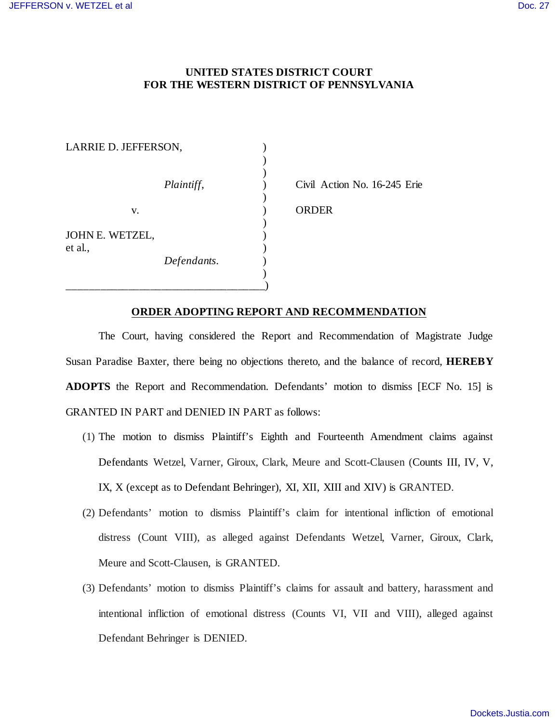## **UNITED STATES DISTRICT COURT FOR THE WESTERN DISTRICT OF PENNSYLVANIA**

| LARRIE D. JEFFERSON,       |             |  |
|----------------------------|-------------|--|
|                            |             |  |
|                            |             |  |
|                            | Plaintiff,  |  |
|                            |             |  |
| V.                         |             |  |
|                            |             |  |
| JOHN E. WETZEL,<br>et al., |             |  |
|                            |             |  |
|                            | Defendants. |  |
|                            |             |  |
|                            |             |  |

Civil Action No. 16-245 Erie

ORDER<sub>1</sub>

## **ORDER ADOPTING REPORT AND RECOMMENDATION**

The Court, having considered the Report and Recommendation of Magistrate Judge Susan Paradise Baxter, there being no objections thereto, and the balance of record, **HEREBY ADOPTS** the Report and Recommendation. Defendants' motion to dismiss [ECF No. 15] is GRANTED IN PART and DENIED IN PART as follows:

- (1) The motion to dismiss Plaintiff's Eighth and Fourteenth Amendment claims against Defendants Wetzel, Varner, Giroux, Clark, Meure and Scott-Clausen (Counts III, IV, V, IX, X (except as to Defendant Behringer), XI, XII, XIII and XIV) is GRANTED.
- (2) Defendants' motion to dismiss Plaintiff's claim for intentional infliction of emotional distress (Count VIII), as alleged against Defendants Wetzel, Varner, Giroux, Clark, Meure and Scott-Clausen, is GRANTED.
- (3) Defendants' motion to dismiss Plaintiff's claims for assault and battery, harassment and intentional infliction of emotional distress (Counts VI, VII and VIII), alleged against Defendant Behringer is DENIED.